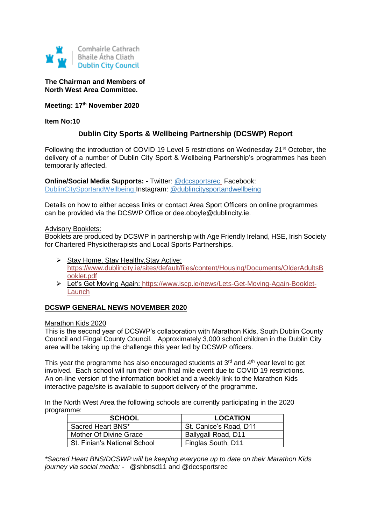

## **The Chairman and Members of North West Area Committee.**

**Meeting: 17th November 2020**

### **Item No:10**

# **Dublin City Sports & Wellbeing Partnership (DCSWP) Report**

Following the introduction of COVID 19 Level 5 restrictions on Wednesday 21<sup>st</sup> October, the delivery of a number of Dublin City Sport & Wellbeing Partnership's programmes has been temporarily affected.

**Online/Social Media Supports: -** Twitter: [@dccsportsrec](https://twitter.com/dccsportsrec) Facebook: [DublinCitySportandWellbeing](https://www.facebook.com/DublinCitySportandWellbeingPartnership/) Instagram: @dublincitysportandwellbeing

Details on how to either access links or contact Area Sport Officers on online programmes can be provided via the DCSWP Office or dee.oboyle@dublincity.ie.

### Advisory Booklets:

Booklets are produced by DCSWP in partnership with Age Friendly Ireland, HSE, Irish Society for Chartered Physiotherapists and Local Sports Partnerships.

- $\triangleright$  Stay Home, Stay Healthy, Stay Active: [https://www.dublincity.ie/sites/default/files/content/Housing/Documents/OlderAdultsB](https://www.dublincity.ie/sites/default/files/content/Housing/Documents/OlderAdultsBooklet.pdf) [ooklet.pdf](https://www.dublincity.ie/sites/default/files/content/Housing/Documents/OlderAdultsBooklet.pdf)
- Let's Get Moving Again: [https://www.iscp.ie/news/Lets-Get-Moving-Again-Booklet-](https://www.iscp.ie/news/Lets-Get-Moving-Again-Booklet-Launch)**[Launch](https://www.iscp.ie/news/Lets-Get-Moving-Again-Booklet-Launch)**

## **DCSWP GENERAL NEWS NOVEMBER 2020**

### Marathon Kids 2020

This is the second year of DCSWP's collaboration with Marathon Kids, South Dublin County Council and Fingal County Council. Approximately 3,000 school children in the Dublin City area will be taking up the challenge this year led by DCSWP officers.

This year the programme has also encouraged students at  $3<sup>rd</sup>$  and  $4<sup>th</sup>$  year level to get involved. Each school will run their own final mile event due to COVID 19 restrictions. An on-line version of the information booklet and a weekly link to the Marathon Kids interactive page/site is available to support delivery of the programme.

In the North West Area the following schools are currently participating in the 2020 programme:

| <b>SCHOOL</b>                | <b>LOCATION</b>        |
|------------------------------|------------------------|
| Sacred Heart BNS*            | St. Canice's Road, D11 |
| Mother Of Divine Grace       | Ballygall Road, D11    |
| St. Finian's National School | Finglas South, D11     |

*\*Sacred Heart BNS/DCSWP will be keeping everyone up to date on their Marathon Kids journey via social media: -* @shbnsd11 and @dccsportsrec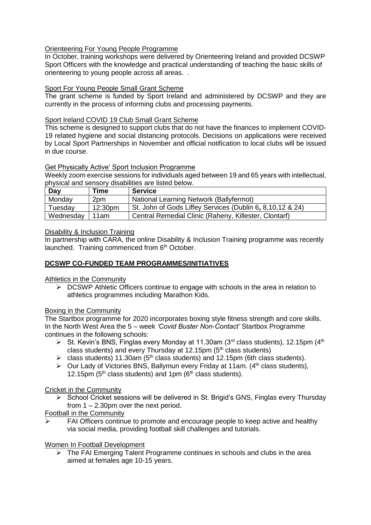## Orienteering For Young People Programme

In October, training workshops were delivered by Orienteering Ireland and provided DCSWP Sport Officers with the knowledge and practical understanding of teaching the basic skills of orienteering to young people across all areas. .

## Sport For Young People Small Grant Scheme

The grant scheme is funded by Sport Ireland and administered by DCSWP and they are currently in the process of informing clubs and processing payments.

### Sport Ireland COVID 19 Club Small Grant Scheme

This scheme is designed to support clubs that do not have the finances to implement COVID-19 related hygiene and social distancing protocols. Decisions on applications were received by Local Sport Partnerships in November and official notification to local clubs will be issued in due course.

### Get Physically Active' Sport Inclusion Programme

Weekly zoom exercise sessions for individuals aged between 19 and 65 years with intellectual, physical and sensory disabilities are listed below.

| Day       | <b>Time</b> | <b>Service</b>                                            |
|-----------|-------------|-----------------------------------------------------------|
| Monday    | 2pm         | National Learning Network (Ballyfermot)                   |
| Tuesday   | 12:30pm     | St. John of Gods Liffey Services (Dublin 6, 8,10,12 & 24) |
| Wednesday | 11am        | Central Remedial Clinic (Raheny, Killester, Clontarf)     |

### Disability & Inclusion Training

In partnership with CARA, the online Disability & Inclusion Training programme was recently launched. Training commenced from 6<sup>th</sup> October.

## **DCSWP CO-FUNDED TEAM PROGRAMMES/INITIATIVES**

Athletics in the Community

 $\triangleright$  DCSWP Athletic Officers continue to engage with schools in the area in relation to athletics programmes including Marathon Kids.

### Boxing in the Community

The Startbox programme for 2020 incorporates boxing style fitness strength and core skills. In the North West Area the 5 – week *'Covid Buster Non-Contact'* Startbox Programme continues in the following schools:

- St. Kevin's BNS, Finglas every Monday at 11.30am (3<sup>rd</sup> class students), 12.15pm (4<sup>th</sup>) class students) and every Thursday at 12.15pm (5<sup>th</sup> class students)
- $\triangleright$  class students) 11.30am (5<sup>th</sup> class students) and 12.15pm (6th class students).
- $\triangleright$  Our Lady of Victories BNS, Ballymun every Friday at 11am. (4<sup>th</sup> class students), 12.15pm ( $5<sup>th</sup>$  class students) and 1pm ( $6<sup>th</sup>$  class students).

### Cricket in the Community

 School Cricket sessions will be delivered in St. Brigid's GNS, Finglas every Thursday from 1 – 2.30pm over the next period.

Football in the Community

 $\triangleright$  FAI Officers continue to promote and encourage people to keep active and healthy via social media, providing football skill challenges and tutorials.

### Women In Football Development

 $\triangleright$  The FAI Emerging Talent Programme continues in schools and clubs in the area aimed at females age 10-15 years.